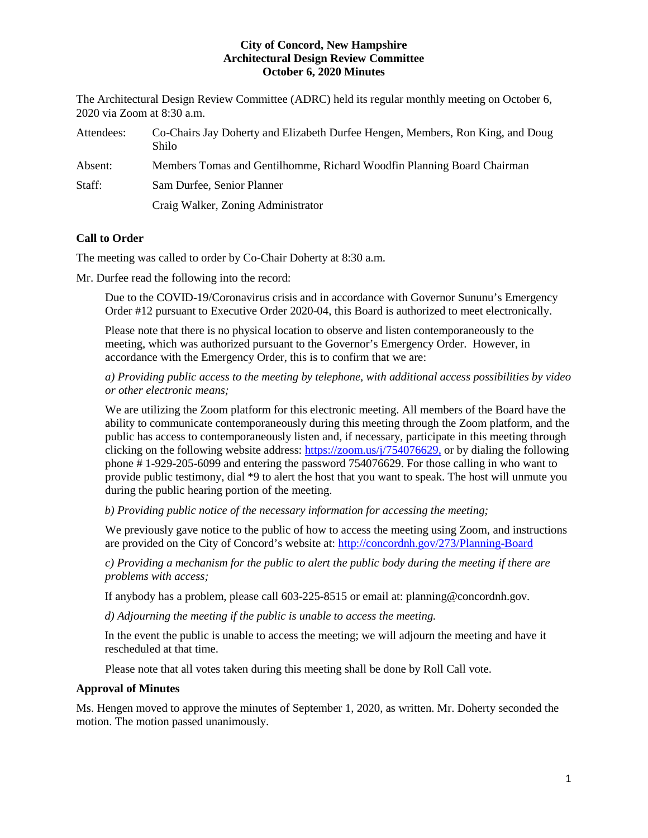The Architectural Design Review Committee (ADRC) held its regular monthly meeting on October 6, 2020 via Zoom at 8:30 a.m.

| Attendees: | Co-Chairs Jay Doherty and Elizabeth Durfee Hengen, Members, Ron King, and Doug<br>Shilo |
|------------|-----------------------------------------------------------------------------------------|
| Absent:    | Members Tomas and Gentilhomme, Richard Woodfin Planning Board Chairman                  |
| Staff:     | Sam Durfee, Senior Planner                                                              |
|            | Craig Walker, Zoning Administrator                                                      |

# **Call to Order**

The meeting was called to order by Co-Chair Doherty at 8:30 a.m.

Mr. Durfee read the following into the record:

Due to the COVID-19/Coronavirus crisis and in accordance with Governor Sununu's Emergency Order #12 pursuant to Executive Order 2020-04, this Board is authorized to meet electronically.

Please note that there is no physical location to observe and listen contemporaneously to the meeting, which was authorized pursuant to the Governor's Emergency Order. However, in accordance with the Emergency Order, this is to confirm that we are:

*a) Providing public access to the meeting by telephone, with additional access possibilities by video or other electronic means;* 

We are utilizing the Zoom platform for this electronic meeting. All members of the Board have the ability to communicate contemporaneously during this meeting through the Zoom platform, and the public has access to contemporaneously listen and, if necessary, participate in this meeting through clicking on the following website address: [https://zoom.us/j/754076629,](https://zoom.us/j/754076629) or by dialing the following phone # 1-929-205-6099 and entering the password 754076629. For those calling in who want to provide public testimony, dial \*9 to alert the host that you want to speak. The host will unmute you during the public hearing portion of the meeting.

*b) Providing public notice of the necessary information for accessing the meeting;*

We previously gave notice to the public of how to access the meeting using Zoom, and instructions are provided on the City of Concord's website at: <http://concordnh.gov/273/Planning-Board>

*c) Providing a mechanism for the public to alert the public body during the meeting if there are problems with access;* 

If anybody has a problem, please call 603-225-8515 or email at: planning@concordnh.gov.

*d) Adjourning the meeting if the public is unable to access the meeting.*

In the event the public is unable to access the meeting; we will adjourn the meeting and have it rescheduled at that time.

Please note that all votes taken during this meeting shall be done by Roll Call vote.

#### **Approval of Minutes**

Ms. Hengen moved to approve the minutes of September 1, 2020, as written. Mr. Doherty seconded the motion. The motion passed unanimously.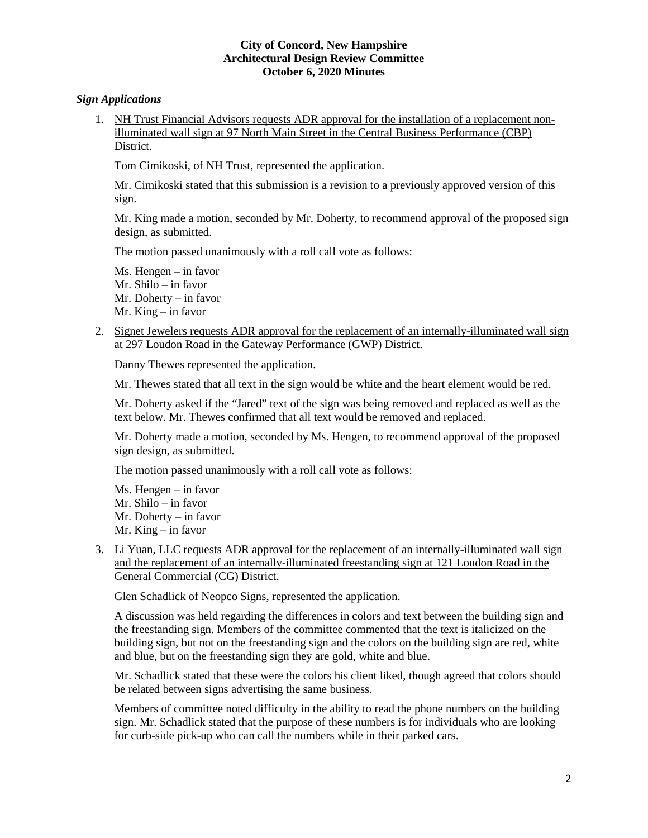## *Sign Applications*

1. NH Trust Financial Advisors requests ADR approval for the installation of a replacement nonilluminated wall sign at 97 North Main Street in the Central Business Performance (CBP) District.

Tom Cimikoski, of NH Trust, represented the application.

Mr. Cimikoski stated that this submission is a revision to a previously approved version of this sign.

Mr. King made a motion, seconded by Mr. Doherty, to recommend approval of the proposed sign design, as submitted.

The motion passed unanimously with a roll call vote as follows:

Ms. Hengen – in favor Mr. Shilo – in favor Mr. Doherty – in favor Mr. King – in favor

2. Signet Jewelers requests ADR approval for the replacement of an internally-illuminated wall sign at 297 Loudon Road in the Gateway Performance (GWP) District.

Danny Thewes represented the application.

Mr. Thewes stated that all text in the sign would be white and the heart element would be red.

Mr. Doherty asked if the "Jared" text of the sign was being removed and replaced as well as the text below. Mr. Thewes confirmed that all text would be removed and replaced.

Mr. Doherty made a motion, seconded by Ms. Hengen, to recommend approval of the proposed sign design, as submitted.

The motion passed unanimously with a roll call vote as follows:

Ms. Hengen – in favor Mr. Shilo – in favor Mr. Doherty – in favor Mr. King – in favor

3. Li Yuan, LLC requests ADR approval for the replacement of an internally-illuminated wall sign and the replacement of an internally-illuminated freestanding sign at 121 Loudon Road in the General Commercial (CG) District.

Glen Schadlick of Neopco Signs, represented the application.

A discussion was held regarding the differences in colors and text between the building sign and the freestanding sign. Members of the committee commented that the text is italicized on the building sign, but not on the freestanding sign and the colors on the building sign are red, white and blue, but on the freestanding sign they are gold, white and blue.

Mr. Schadlick stated that these were the colors his client liked, though agreed that colors should be related between signs advertising the same business.

Members of committee noted difficulty in the ability to read the phone numbers on the building sign. Mr. Schadlick stated that the purpose of these numbers is for individuals who are looking for curb-side pick-up who can call the numbers while in their parked cars.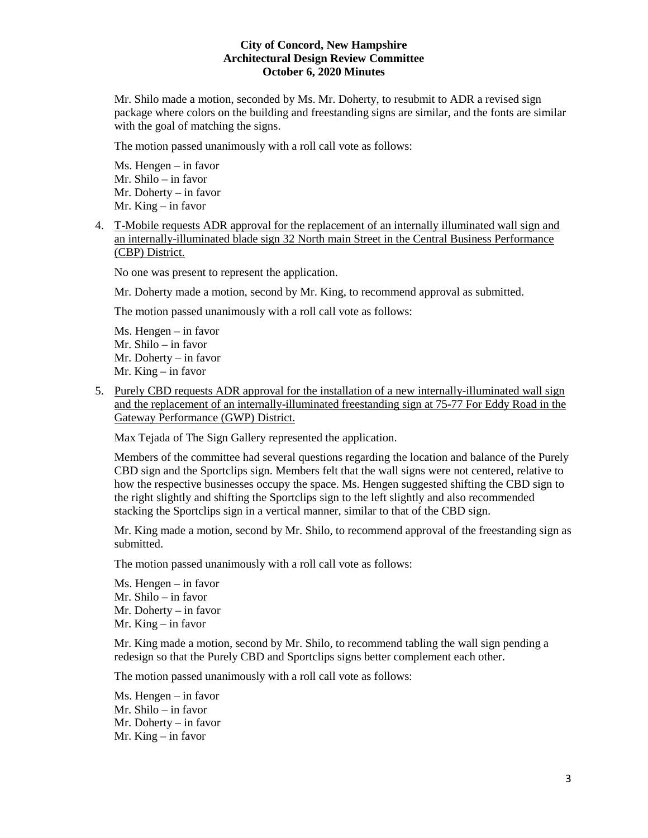Mr. Shilo made a motion, seconded by Ms. Mr. Doherty, to resubmit to ADR a revised sign package where colors on the building and freestanding signs are similar, and the fonts are similar with the goal of matching the signs.

The motion passed unanimously with a roll call vote as follows:

Ms. Hengen – in favor Mr. Shilo – in favor Mr. Doherty – in favor Mr. King – in favor

4. T-Mobile requests ADR approval for the replacement of an internally illuminated wall sign and an internally-illuminated blade sign 32 North main Street in the Central Business Performance (CBP) District.

No one was present to represent the application.

Mr. Doherty made a motion, second by Mr. King, to recommend approval as submitted.

The motion passed unanimously with a roll call vote as follows:

Ms. Hengen – in favor Mr. Shilo – in favor Mr. Doherty – in favor Mr. King – in favor

5. Purely CBD requests ADR approval for the installation of a new internally-illuminated wall sign and the replacement of an internally-illuminated freestanding sign at 75-77 For Eddy Road in the Gateway Performance (GWP) District.

Max Tejada of The Sign Gallery represented the application.

Members of the committee had several questions regarding the location and balance of the Purely CBD sign and the Sportclips sign. Members felt that the wall signs were not centered, relative to how the respective businesses occupy the space. Ms. Hengen suggested shifting the CBD sign to the right slightly and shifting the Sportclips sign to the left slightly and also recommended stacking the Sportclips sign in a vertical manner, similar to that of the CBD sign.

Mr. King made a motion, second by Mr. Shilo, to recommend approval of the freestanding sign as submitted.

The motion passed unanimously with a roll call vote as follows:

Ms. Hengen – in favor Mr. Shilo – in favor Mr. Doherty – in favor Mr. King – in favor

Mr. King made a motion, second by Mr. Shilo, to recommend tabling the wall sign pending a redesign so that the Purely CBD and Sportclips signs better complement each other.

The motion passed unanimously with a roll call vote as follows:

Ms. Hengen – in favor Mr. Shilo – in favor Mr. Doherty – in favor Mr. King – in favor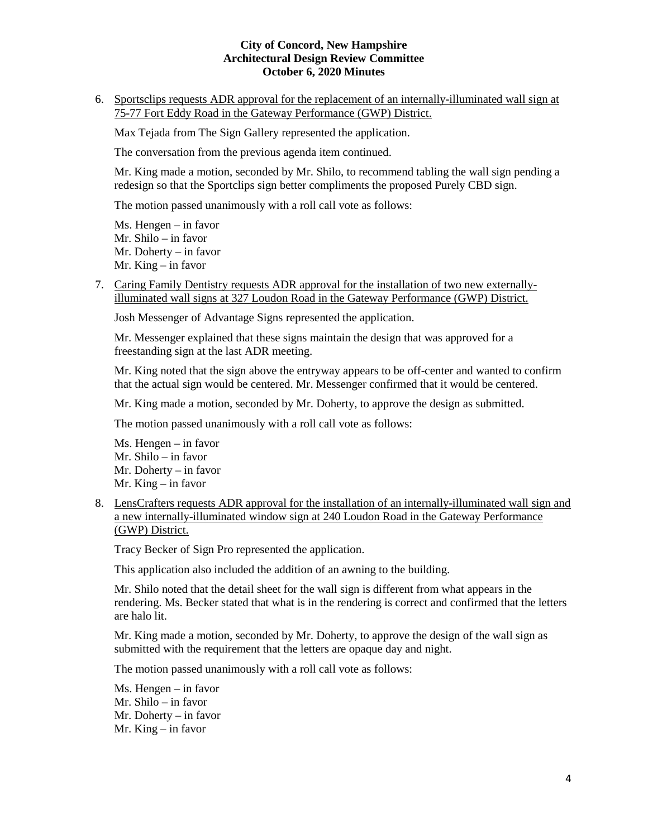6. Sportsclips requests ADR approval for the replacement of an internally-illuminated wall sign at 75-77 Fort Eddy Road in the Gateway Performance (GWP) District.

Max Tejada from The Sign Gallery represented the application.

The conversation from the previous agenda item continued.

Mr. King made a motion, seconded by Mr. Shilo, to recommend tabling the wall sign pending a redesign so that the Sportclips sign better compliments the proposed Purely CBD sign.

The motion passed unanimously with a roll call vote as follows:

Ms. Hengen – in favor Mr. Shilo – in favor Mr. Doherty – in favor Mr. King – in favor

7. Caring Family Dentistry requests ADR approval for the installation of two new externallyilluminated wall signs at 327 Loudon Road in the Gateway Performance (GWP) District.

Josh Messenger of Advantage Signs represented the application.

Mr. Messenger explained that these signs maintain the design that was approved for a freestanding sign at the last ADR meeting.

Mr. King noted that the sign above the entryway appears to be off-center and wanted to confirm that the actual sign would be centered. Mr. Messenger confirmed that it would be centered.

Mr. King made a motion, seconded by Mr. Doherty, to approve the design as submitted.

The motion passed unanimously with a roll call vote as follows:

Ms. Hengen – in favor Mr. Shilo – in favor Mr. Doherty – in favor Mr. King – in favor

8. LensCrafters requests ADR approval for the installation of an internally-illuminated wall sign and a new internally-illuminated window sign at 240 Loudon Road in the Gateway Performance (GWP) District.

Tracy Becker of Sign Pro represented the application.

This application also included the addition of an awning to the building.

Mr. Shilo noted that the detail sheet for the wall sign is different from what appears in the rendering. Ms. Becker stated that what is in the rendering is correct and confirmed that the letters are halo lit.

Mr. King made a motion, seconded by Mr. Doherty, to approve the design of the wall sign as submitted with the requirement that the letters are opaque day and night.

The motion passed unanimously with a roll call vote as follows:

Ms. Hengen – in favor Mr. Shilo – in favor Mr. Doherty – in favor Mr. King – in favor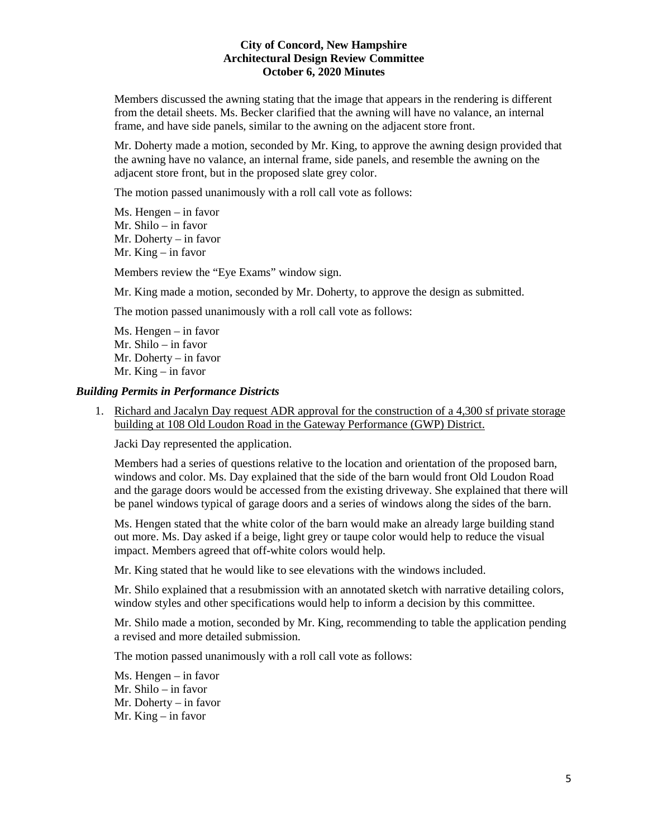Members discussed the awning stating that the image that appears in the rendering is different from the detail sheets. Ms. Becker clarified that the awning will have no valance, an internal frame, and have side panels, similar to the awning on the adjacent store front.

Mr. Doherty made a motion, seconded by Mr. King, to approve the awning design provided that the awning have no valance, an internal frame, side panels, and resemble the awning on the adjacent store front, but in the proposed slate grey color.

The motion passed unanimously with a roll call vote as follows:

Ms. Hengen – in favor Mr. Shilo – in favor Mr. Doherty – in favor Mr. King – in favor

Members review the "Eye Exams" window sign.

Mr. King made a motion, seconded by Mr. Doherty, to approve the design as submitted.

The motion passed unanimously with a roll call vote as follows:

Ms. Hengen – in favor Mr. Shilo – in favor Mr. Doherty – in favor Mr. King – in favor

### *Building Permits in Performance Districts*

1. Richard and Jacalyn Day request ADR approval for the construction of a 4,300 sf private storage building at 108 Old Loudon Road in the Gateway Performance (GWP) District.

Jacki Day represented the application.

Members had a series of questions relative to the location and orientation of the proposed barn, windows and color. Ms. Day explained that the side of the barn would front Old Loudon Road and the garage doors would be accessed from the existing driveway. She explained that there will be panel windows typical of garage doors and a series of windows along the sides of the barn.

Ms. Hengen stated that the white color of the barn would make an already large building stand out more. Ms. Day asked if a beige, light grey or taupe color would help to reduce the visual impact. Members agreed that off-white colors would help.

Mr. King stated that he would like to see elevations with the windows included.

Mr. Shilo explained that a resubmission with an annotated sketch with narrative detailing colors, window styles and other specifications would help to inform a decision by this committee.

Mr. Shilo made a motion, seconded by Mr. King, recommending to table the application pending a revised and more detailed submission.

The motion passed unanimously with a roll call vote as follows:

Ms. Hengen – in favor Mr. Shilo – in favor Mr. Doherty – in favor Mr. King – in favor